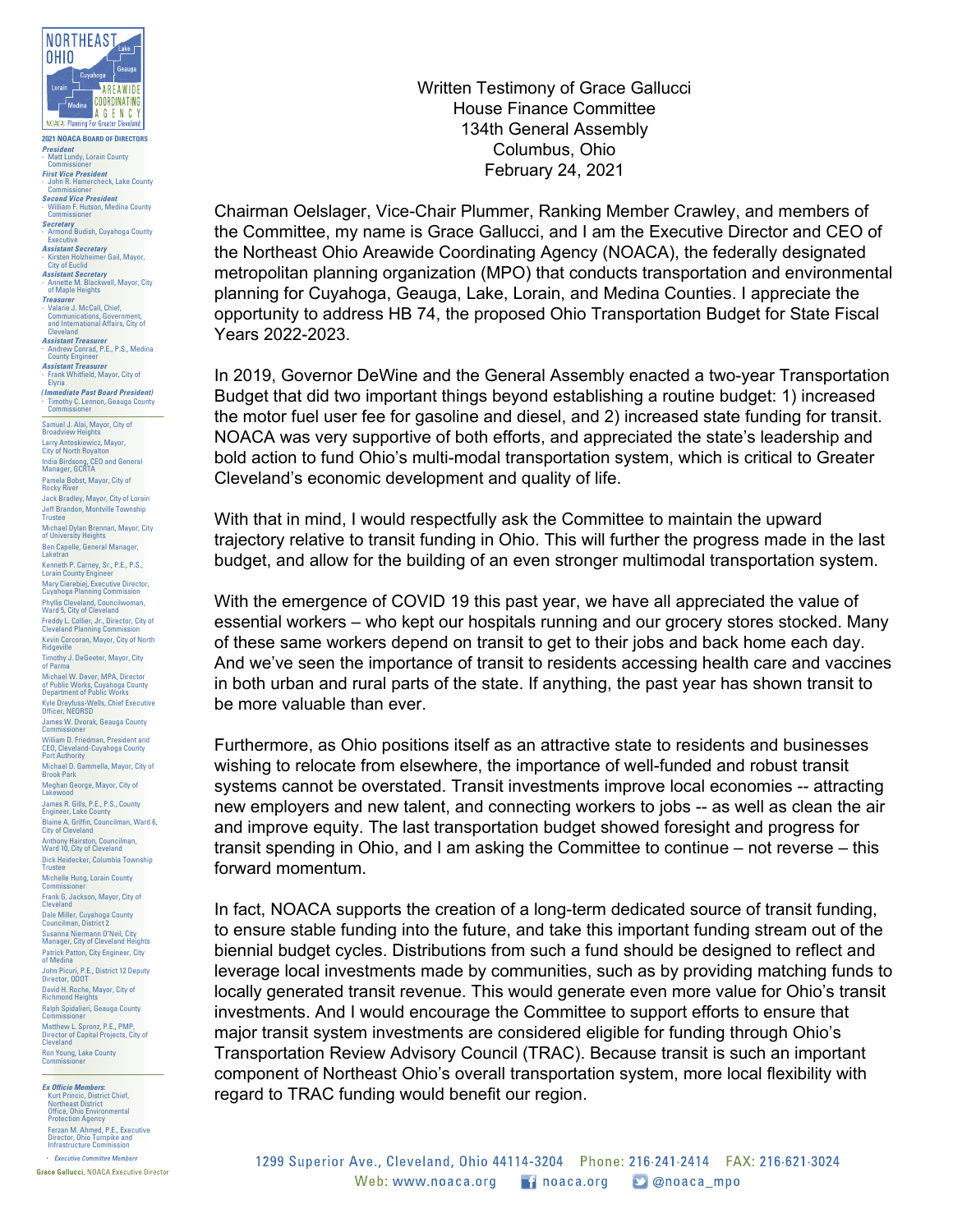

**2021 NOACA BOARD OF DIRECTORS** *President* **.** Matt Lundy, Lorain County Commissioner

*First Vice President* **.** John R. Hamercheck, Lake County John F<br>Commi *Second Vice President*

**.** William F. Hutson, Medina County Commissioner

- *Secretary* **.** Armond Budish, Cuyahoga County
- Executive *Assistant Secretary* **.** Kirsten Holzheimer Gail, Mayor,
- City of Euclid *Assistant Secretary* **.** Annette M. Blackwell, Mayor, City
- of Maple Heights
- *Treasurer* **.** Valarie J. McCall, Chief, Communications, Government, and International Affairs, City of Cleveland
- *Assistant Treasurer* **.** Andrew Conrad, P.E., P.S., Medina
- County Engineer *Assistant Treasurer*

**.** Frank Whitfield, Mayor, City of Elyria

*(Immediate Past Board President)* non, Geauga County Timothy C. Len<br>Commissioner

Samuel J. Alai, Mayor, City of Broadview Heights Larry Antoskiewicz, Mayor, City of North Royalton India Birdsong, CEO and General Manager, GCRTA Pamela Bobst, Mayor, City of Rocky River Jack Bradley, Mayor, City of Lorain Jeff Brandon, Montville Township Trustee

Michael Dylan Brennan, Mayor, City

of University Heights Ben Capelle, General Manager, Laketran

Kenneth P. Carney, Sr., P.E., P.S., Lorain County Engineer Mary Cierebiej, Executive Director, Cuyahoga Planning Commission Phyllis Cleveland, Councilwoman,<br>Ward 5, City of Cleveland<br>Freddy L. Collier, Jr., Director, City of<br>Cleveland Planning Commission

Kevin Corcoran, Mayor, City of North

Ridgeville Timothy J. DeGeeter, Mayor, City of Parma

Michael W. Dever, MPA, Director of Public Works, Cuyahoga County Department of Public Works Kyle Dreyfuss-Wells, Chief Executive Officer, NEORSD James W. Dvorak, Geauga County Commissioner William D. Friedman, President and CEO, Cleveland-Cuyahoga County Port Authority Michael D. Gammella, Mayor, City of Brook Park

Meghan George, Mayor, City of Lakewood

**James R. Gills, P.E., P.S., County**<br>Engineer, Lake County Engineer, Lake County Blaine A. Griffin, Councilman, Ward 6, City of Cleveland Anthony Hairston, Councilman, Ward 10, City of Cleveland

Dick Heidecker, Columbia Township Trustee Michelle Hung, Lorain County

Commissioner Frank G. Jackson, Mayor, City of Cleveland

Dale Miller, Cuyahoga County Councilman, District 2

Susanna Niermann O'Neil, City Manager, City of Cleveland Heights Patrick Patton, City Engineer, City of Medina

John Picuri, P.E., District 12 Deputy Director, ODOT

David H. Roche, Mayor, City of Richmond Heights Ralph Spidalieri, Geauga County Commissioner

Matthew L. Spronz, P.E., PMP,<br>Director of Capital Projects, City of<br>Cleveland

Ron Young, Lake County Commissioner

*Ex Officio Members:*<br>
Kurt Princic, District Chief,<br>
Northeast District<br>
Office, Ohio Environmental<br>
Protection Agency<br>
Ferzan M. Ahmed, P.E., Executive Director, Ohio Turnpike and Infrastructure Commission • Executive Committee Members

Grace Gallucci, NOACA Executive Director

Written Testimony of Grace Gallucci House Finance Committee 134th General Assembly Columbus, Ohio February 24, 2021

Chairman Oelslager, Vice-Chair Plummer, Ranking Member Crawley, and members of the Committee, my name is Grace Gallucci, and I am the Executive Director and CEO of the Northeast Ohio Areawide Coordinating Agency (NOACA), the federally designated metropolitan planning organization (MPO) that conducts transportation and environmental planning for Cuyahoga, Geauga, Lake, Lorain, and Medina Counties. I appreciate the opportunity to address HB 74, the proposed Ohio Transportation Budget for State Fiscal Years 2022-2023.

In 2019, Governor DeWine and the General Assembly enacted a two-year Transportation Budget that did two important things beyond establishing a routine budget: 1) increased the motor fuel user fee for gasoline and diesel, and 2) increased state funding for transit. NOACA was very supportive of both efforts, and appreciated the state's leadership and bold action to fund Ohio's multi-modal transportation system, which is critical to Greater Cleveland's economic development and quality of life.

With that in mind, I would respectfully ask the Committee to maintain the upward trajectory relative to transit funding in Ohio. This will further the progress made in the last budget, and allow for the building of an even stronger multimodal transportation system.

With the emergence of COVID 19 this past year, we have all appreciated the value of essential workers – who kept our hospitals running and our grocery stores stocked. Many of these same workers depend on transit to get to their jobs and back home each day. And we've seen the importance of transit to residents accessing health care and vaccines in both urban and rural parts of the state. If anything, the past year has shown transit to be more valuable than ever.

Furthermore, as Ohio positions itself as an attractive state to residents and businesses wishing to relocate from elsewhere, the importance of well-funded and robust transit systems cannot be overstated. Transit investments improve local economies -- attracting new employers and new talent, and connecting workers to jobs -- as well as clean the air and improve equity. The last transportation budget showed foresight and progress for transit spending in Ohio, and I am asking the Committee to continue – not reverse – this forward momentum.

In fact, NOACA supports the creation of a long-term dedicated source of transit funding, to ensure stable funding into the future, and take this important funding stream out of the biennial budget cycles. Distributions from such a fund should be designed to reflect and leverage local investments made by communities, such as by providing matching funds to locally generated transit revenue. This would generate even more value for Ohio's transit investments. And I would encourage the Committee to support efforts to ensure that major transit system investments are considered eligible for funding through Ohio's Transportation Review Advisory Council (TRAC). Because transit is such an important component of Northeast Ohio's overall transportation system, more local flexibility with regard to TRAC funding would benefit our region.